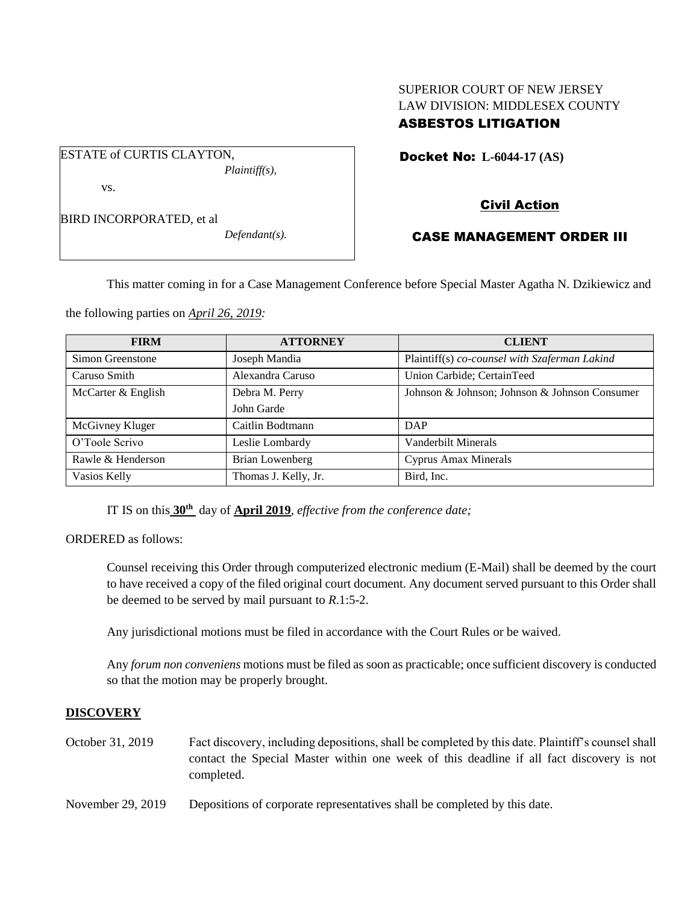# SUPERIOR COURT OF NEW JERSEY LAW DIVISION: MIDDLESEX COUNTY ASBESTOS LITIGATION

Docket No: **L-6044-17 (AS)** 

BIRD INCORPORATED, et al

vs.

ESTATE of CURTIS CLAYTON,

*Defendant(s).*

*Plaintiff(s),*

# Civil Action

## CASE MANAGEMENT ORDER III

This matter coming in for a Case Management Conference before Special Master Agatha N. Dzikiewicz and

the following parties on *April 26, 2019:*

| <b>FIRM</b>        | <b>ATTORNEY</b>      | <b>CLIENT</b>                                 |
|--------------------|----------------------|-----------------------------------------------|
| Simon Greenstone   | Joseph Mandia        | Plaintiff(s) co-counsel with Szaferman Lakind |
| Caruso Smith       | Alexandra Caruso     | Union Carbide; CertainTeed                    |
| McCarter & English | Debra M. Perry       | Johnson & Johnson; Johnson & Johnson Consumer |
|                    | John Garde           |                                               |
| McGivney Kluger    | Caitlin Bodtmann     | DAP                                           |
| O'Toole Scrivo     | Leslie Lombardy      | Vanderbilt Minerals                           |
| Rawle & Henderson  | Brian Lowenberg      | Cyprus Amax Minerals                          |
| Vasios Kelly       | Thomas J. Kelly, Jr. | Bird, Inc.                                    |

IT IS on this **30th** day of **April 2019**, *effective from the conference date;*

ORDERED as follows:

Counsel receiving this Order through computerized electronic medium (E-Mail) shall be deemed by the court to have received a copy of the filed original court document. Any document served pursuant to this Order shall be deemed to be served by mail pursuant to *R*.1:5-2.

Any jurisdictional motions must be filed in accordance with the Court Rules or be waived.

Any *forum non conveniens* motions must be filed as soon as practicable; once sufficient discovery is conducted so that the motion may be properly brought.

#### **DISCOVERY**

October 31, 2019 Fact discovery, including depositions, shall be completed by this date. Plaintiff's counsel shall contact the Special Master within one week of this deadline if all fact discovery is not completed.

November 29, 2019 Depositions of corporate representatives shall be completed by this date.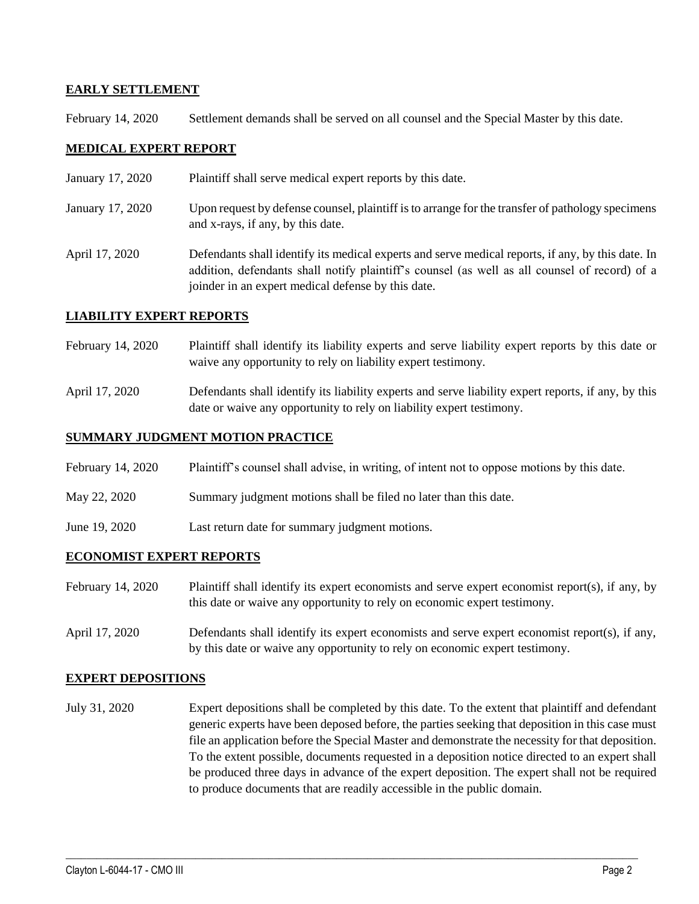## **EARLY SETTLEMENT**

February 14, 2020 Settlement demands shall be served on all counsel and the Special Master by this date.

## **MEDICAL EXPERT REPORT**

- January 17, 2020 Plaintiff shall serve medical expert reports by this date.
- January 17, 2020 Upon request by defense counsel, plaintiff is to arrange for the transfer of pathology specimens and x-rays, if any, by this date.
- April 17, 2020 Defendants shall identify its medical experts and serve medical reports, if any, by this date. In addition, defendants shall notify plaintiff's counsel (as well as all counsel of record) of a joinder in an expert medical defense by this date.

#### **LIABILITY EXPERT REPORTS**

- February 14, 2020 Plaintiff shall identify its liability experts and serve liability expert reports by this date or waive any opportunity to rely on liability expert testimony.
- April 17, 2020 Defendants shall identify its liability experts and serve liability expert reports, if any, by this date or waive any opportunity to rely on liability expert testimony.

### **SUMMARY JUDGMENT MOTION PRACTICE**

- February 14, 2020 Plaintiff's counsel shall advise, in writing, of intent not to oppose motions by this date.
- May 22, 2020 Summary judgment motions shall be filed no later than this date.
- June 19, 2020 Last return date for summary judgment motions.

#### **ECONOMIST EXPERT REPORTS**

- February 14, 2020 Plaintiff shall identify its expert economists and serve expert economist report(s), if any, by this date or waive any opportunity to rely on economic expert testimony.
- April 17, 2020 Defendants shall identify its expert economists and serve expert economist report(s), if any, by this date or waive any opportunity to rely on economic expert testimony.

#### **EXPERT DEPOSITIONS**

July 31, 2020 Expert depositions shall be completed by this date. To the extent that plaintiff and defendant generic experts have been deposed before, the parties seeking that deposition in this case must file an application before the Special Master and demonstrate the necessity for that deposition. To the extent possible, documents requested in a deposition notice directed to an expert shall be produced three days in advance of the expert deposition. The expert shall not be required to produce documents that are readily accessible in the public domain.

 $\_$  , and the set of the set of the set of the set of the set of the set of the set of the set of the set of the set of the set of the set of the set of the set of the set of the set of the set of the set of the set of th